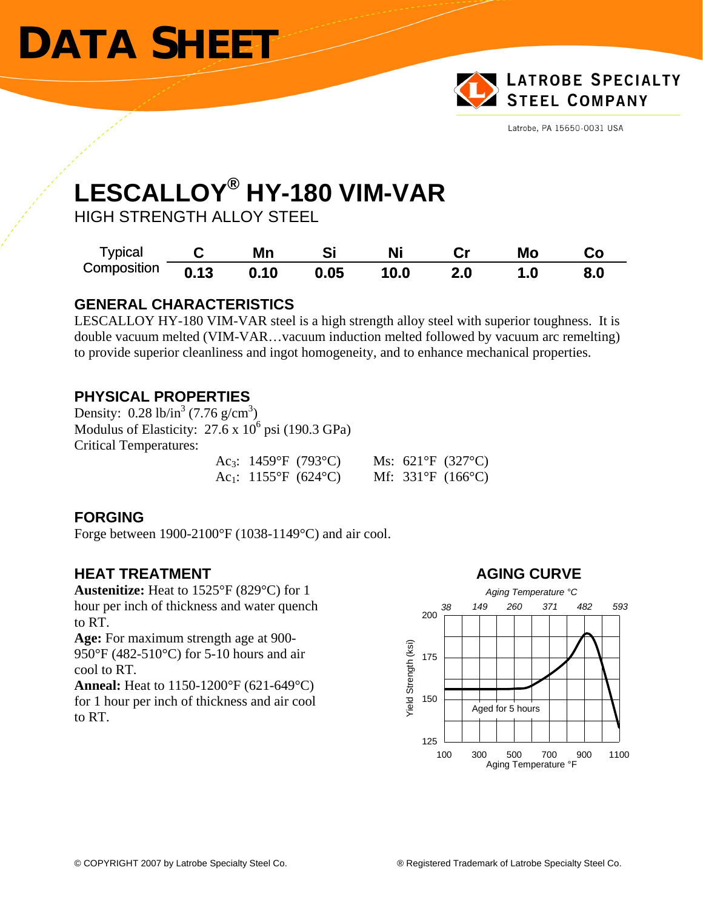# **DATA SHEET**



Latrobe, PA 15650-0031 USA

### **LESCALLOY® HY-180 VIM-VAR**

HIGH STRENGTH ALLOY STEEL

| <b>Typical</b> |      | Mn   | Si   | Ni   |     | Mo  |     |
|----------------|------|------|------|------|-----|-----|-----|
| Composition    | 0.13 | 0.10 | 0.05 | 10.0 | 2.0 | 1.0 | 8.0 |

### **GENERAL CHARACTERISTICS**

LESCALLOY HY-180 VIM-VAR steel is a high strength alloy steel with superior toughness. It is double vacuum melted (VIM-VAR…vacuum induction melted followed by vacuum arc remelting) to provide superior cleanliness and ingot homogeneity, and to enhance mechanical properties.

### **PHYSICAL PROPERTIES**

Density:  $0.28 \text{ lb/in}^3 (7.76 \text{ g/cm}^3)$ Modulus of Elasticity:  $27.6 \times 10^6$  psi (190.3 GPa) Critical Temperatures:

| Ac <sub>3</sub> : 1459°F (793°C) |  | Ms: $621^{\circ}F$ (327°C)            |
|----------------------------------|--|---------------------------------------|
| Ac <sub>1</sub> : 1155°F (624°C) |  | Mf: $331^{\circ}F$ (166 $^{\circ}C$ ) |

### **FORGING**

Forge between 1900-2100°F (1038-1149°C) and air cool.

**Austenitize:** Heat to 1525°F (829°C) for 1 hour per inch of thickness and water quench to RT.

**Age:** For maximum strength age at 900- 950°F (482-510°C) for 5-10 hours and air cool to RT.

**Anneal:** Heat to 1150-1200°F (621-649°C) for 1 hour per inch of thickness and air cool to RT.